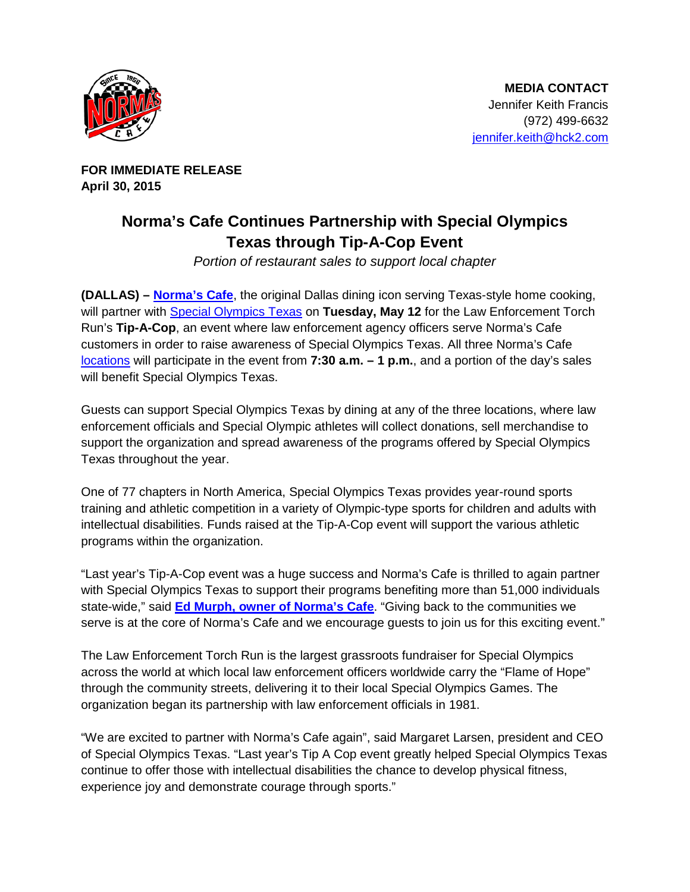

**FOR IMMEDIATE RELEASE April 30, 2015**

## **Norma's Cafe Continues Partnership with Special Olympics Texas through Tip-A-Cop Event**

*Portion of restaurant sales to support local chapter*

**(DALLAS) – [Norma's Cafe](http://normascafe.com/)**, the original Dallas dining icon serving Texas-style home cooking, will partner with [Special Olympics Texas](http://www.specialolympicstexas.org/) on **Tuesday, May 12** for the Law Enforcement Torch Run's **Tip-A-Cop**, an event where law enforcement agency officers serve Norma's Cafe customers in order to raise awareness of Special Olympics Texas. All three Norma's Cafe [locations](http://normascafe.com/locations/) will participate in the event from **7:30 a.m. – 1 p.m.**, and a portion of the day's sales will benefit Special Olympics Texas.

Guests can support Special Olympics Texas by dining at any of the three locations, where law enforcement officials and Special Olympic athletes will collect donations, sell merchandise to support the organization and spread awareness of the programs offered by Special Olympics Texas throughout the year.

One of 77 chapters in North America, Special Olympics Texas provides year-round sports training and athletic competition in a variety of Olympic-type sports for children and adults with intellectual disabilities. Funds raised at the Tip-A-Cop event will support the various athletic programs within the organization.

"Last year's Tip-A-Cop event was a huge success and Norma's Cafe is thrilled to again partner with Special Olympics Texas to support their programs benefiting more than 51,000 individuals state-wide," said **[Ed Murph, owner of Norma's Cafe](http://www.normascafe.com/about/)**. "Giving back to the communities we serve is at the core of Norma's Cafe and we encourage guests to join us for this exciting event."

The Law Enforcement Torch Run is the largest grassroots fundraiser for Special Olympics across the world at which local law enforcement officers worldwide carry the "Flame of Hope" through the community streets, delivering it to their local Special Olympics Games. The organization began its partnership with law enforcement officials in 1981.

"We are excited to partner with Norma's Cafe again", said Margaret Larsen, president and CEO of Special Olympics Texas. "Last year's Tip A Cop event greatly helped Special Olympics Texas continue to offer those with intellectual disabilities the chance to develop physical fitness, experience joy and demonstrate courage through sports."